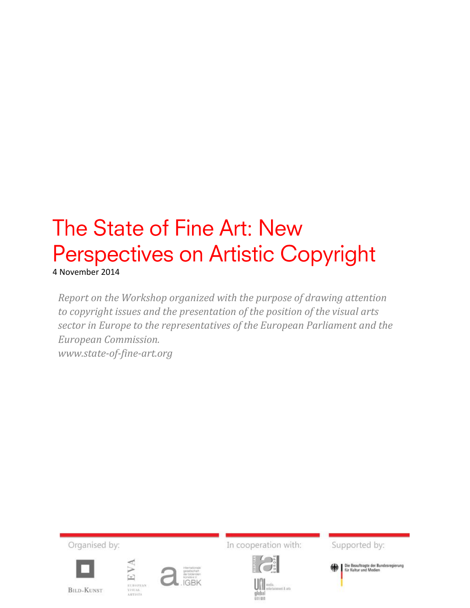# The State of Fine Art: New Perspectives on Artistic Copyright

4 November 2014

*Report on the Workshop organized with the purpose of drawing attention to copyright issues and the presentation of the position of the visual arts sector in Europe to the representatives of the European Parliament and the European Commission. www.state-of-fine-art.org*

Organised by: In cooperation with: Supported by: Die Beauftragte der Bundesregierung<br>für Kultur und Medien EVA EUROPEZ<br>VISUAL<br>ARTISTS  $m\lambda$  im **BILD-KUNST** global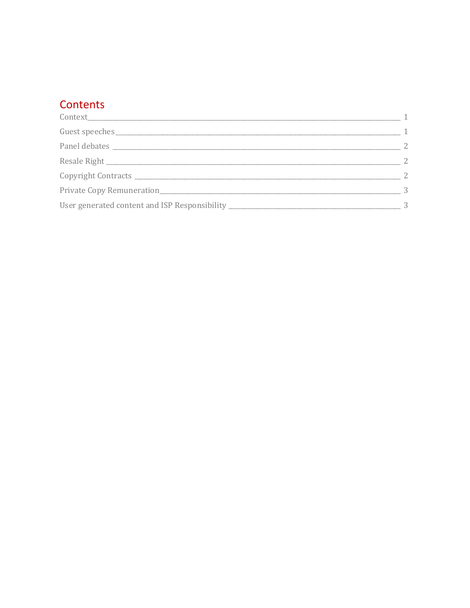# Contents

| Guest speeches and the contract of the contract of the contract of the contract of the contract of the contract of the contract of the contract of the contract of the contract of the contract of the contract of the contrac | - 1 |
|--------------------------------------------------------------------------------------------------------------------------------------------------------------------------------------------------------------------------------|-----|
|                                                                                                                                                                                                                                | 2   |
|                                                                                                                                                                                                                                | -2  |
|                                                                                                                                                                                                                                | 2   |
| Private Copy Remuneration                                                                                                                                                                                                      | -3  |
| User generated content and ISP Responsibility __________________________________                                                                                                                                               | 3   |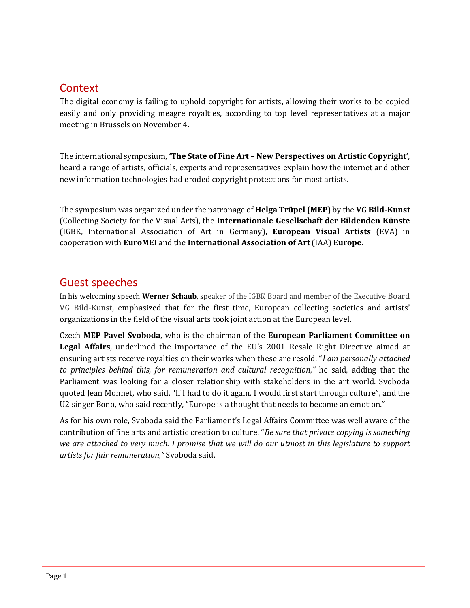### <span id="page-2-0"></span>**Context**

The digital economy is failing to uphold copyright for artists, allowing their works to be copied easily and only providing meagre royalties, according to top level representatives at a major meeting in Brussels on November 4.

The international symposium, **'The State of Fine Art – New Perspectives on Artistic Copyright'**, heard a range of artists, officials, experts and representatives explain how the internet and other new information technologies had eroded copyright protections for most artists.

The symposium was organized under the patronage of **Helga Trüpel (MEP)** by the **VG Bild-Kunst** (Collecting Society for the Visual Arts), the **Internationale Gesellschaft der Bildenden Künste** (IGBK, International Association of Art in Germany), **European Visual Artists** (EVA) in cooperation with **EuroMEI** and the **International Association of Art** (IAA) **Europe**.

#### <span id="page-2-1"></span>Guest speeches

In his welcoming speech **Werner Schaub**, speaker of the IGBK Board and member of the Executive Board VG Bild-Kunst, emphasized that for the first time, European collecting societies and artists' organizations in the field of the visual arts took joint action at the European level.

Czech **MEP Pavel Svoboda**, who is the chairman of the **European Parliament Committee on Legal Affairs**, underlined the importance of the EU's 2001 Resale Right Directive aimed at ensuring artists receive royalties on their works when these are resold. "*I am personally attached to principles behind this, for remuneration and cultural recognition,"* he said, adding that the Parliament was looking for a closer relationship with stakeholders in the art world. Svoboda quoted Jean Monnet, who said, "If I had to do it again, I would first start through culture", and the U2 singer Bono, who said recently, "Europe is a thought that needs to become an emotion."

As for his own role, Svoboda said the Parliament's Legal Affairs Committee was well aware of the contribution of fine arts and artistic creation to culture. "*Be sure that private copying is something we are attached to very much. I promise that we will do our utmost in this legislature to support artists for fair remuneration,"* Svoboda said.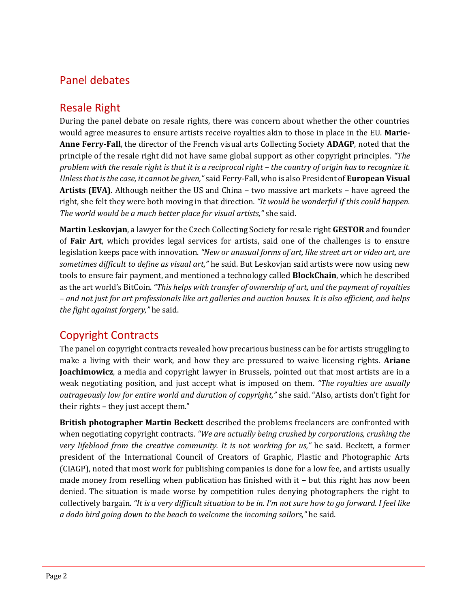# <span id="page-3-0"></span>Panel debates

# <span id="page-3-1"></span>Resale Right

During the panel debate on resale rights, there was concern about whether the other countries would agree measures to ensure artists receive royalties akin to those in place in the EU. **Marie-Anne Ferry-Fall**, the director of the French visual arts Collecting Society **ADAGP**, noted that the principle of the resale right did not have same global support as other copyright principles. *"The problem with the resale right is that it is a reciprocal right – the country of origin has to recognize it. Unless that is the case, it cannot be given,"* said Ferry-Fall, who is also President of **European Visual Artists (EVA)**. Although neither the US and China – two massive art markets – have agreed the right, she felt they were both moving in that direction*. "It would be wonderful if this could happen. The world would be a much better place for visual artists,"* she said.

**Martin Leskovjan**, a lawyer for the Czech Collecting Society for resale right **GESTOR** and founder of **Fair Art**, which provides legal services for artists, said one of the challenges is to ensure legislation keeps pace with innovation. *"New or unusual forms of art, like street art or video art, are sometimes difficult to define as visual art,"* he said. But Leskovjan said artists were now using new tools to ensure fair payment, and mentioned a technology called **BlockChain**, which he described as the art world's BitCoin. *"This helps with transfer of ownership of art, and the payment of royalties – and not just for art professionals like art galleries and auction houses. It is also efficient, and helps the fight against forgery,"* he said.

# <span id="page-3-2"></span>Copyright Contracts

The panel on copyright contracts revealed how precarious business can be for artists struggling to make a living with their work, and how they are pressured to waive licensing rights. **Ariane Joachimowicz**, a media and copyright lawyer in Brussels, pointed out that most artists are in a weak negotiating position, and just accept what is imposed on them. *"The royalties are usually outrageously low for entire world and duration of copyright,"* she said. "Also, artists don't fight for their rights – they just accept them."

**British photographer Martin Beckett** described the problems freelancers are confronted with when negotiating copyright contracts*. "We are actually being crushed by corporations, crushing the very lifeblood from the creative community. It is not working for us,"* he said. Beckett, a former president of the International Council of Creators of Graphic, Plastic and Photographic Arts (CIAGP), noted that most work for publishing companies is done for a low fee, and artists usually made money from reselling when publication has finished with it – but this right has now been denied. The situation is made worse by competition rules denying photographers the right to collectively bargain. *"It is a very difficult situation to be in. I'm not sure how to go forward. I feel like a dodo bird going down to the beach to welcome the incoming sailors,"* he said.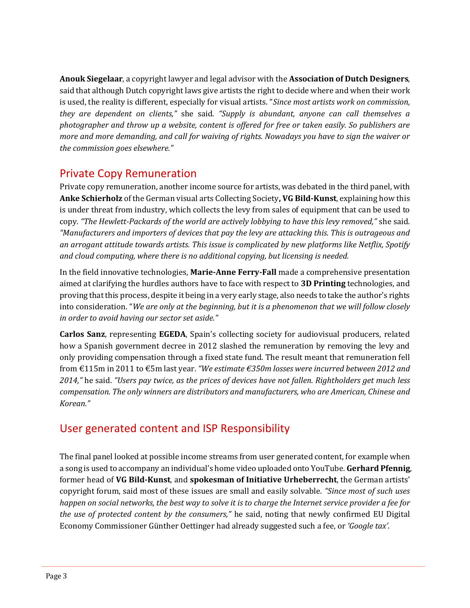**Anouk Siegelaar**, a copyright lawyer and legal advisor with the **Association of Dutch Designers**, said that although Dutch copyright laws give artists the right to decide where and when their work is used, the reality is different, especially for visual artists. "*Since most artists work on commission, they are dependent on clients,"* she said. *"Supply is abundant, anyone can call themselves a photographer and throw up a website, content is offered for free or taken easily. So publishers are more and more demanding, and call for waiving of rights. Nowadays you have to sign the waiver or the commission goes elsewhere."*

# <span id="page-4-0"></span>Private Copy Remuneration

Private copy remuneration, another income source for artists, was debated in the third panel, with **Anke Schierholz** of the German visual arts Collecting Society**, VG Bild-Kunst**, explaining how this is under threat from industry, which collects the levy from sales of equipment that can be used to copy. *"The Hewlett-Packards of the world are actively lobbying to have this levy removed,"* she said. *"Manufacturers and importers of devices that pay the levy are attacking this. This is outrageous and an arrogant attitude towards artists. This issue is complicated by new platforms like Netflix, Spotify and cloud computing, where there is no additional copying, but licensing is needed.*

In the field innovative technologies, **Marie-Anne Ferry-Fall** made a comprehensive presentation aimed at clarifying the hurdles authors have to face with respect to **3D Printing** technologies, and proving that this process, despite it being in a very early stage, also needs to take the author's rights into consideration. "*We are only at the beginning, but it is a phenomenon that we will follow closely in order to avoid having our sector set aside."*

**Carlos Sanz**, representing **EGEDA**, Spain's collecting society for audiovisual producers, related how a Spanish government decree in 2012 slashed the remuneration by removing the levy and only providing compensation through a fixed state fund. The result meant that remuneration fell from €115m in 2011 to €5m last year. *"We estimate €350m losses were incurred between 2012 and 2014,"* he said. *"Users pay twice, as the prices of devices have not fallen. Rightholders get much less compensation. The only winners are distributors and manufacturers, who are American, Chinese and Korean."*

# <span id="page-4-1"></span>User generated content and ISP Responsibility

The final panel looked at possible income streams from user generated content, for example when a song is used to accompany an individual's home video uploaded onto YouTube. **Gerhard Pfennig**, former head of **VG Bild-Kunst**, and **spokesman of Initiative Urheberrecht**, the German artists' copyright forum, said most of these issues are small and easily solvable. *"Since most of such uses happen on social networks, the best way to solve it is to charge the Internet service provider a fee for the use of protected content by the consumers,"* he said, noting that newly confirmed EU Digital Economy Commissioner Günther Oettinger had already suggested such a fee, or *'Google tax'*.